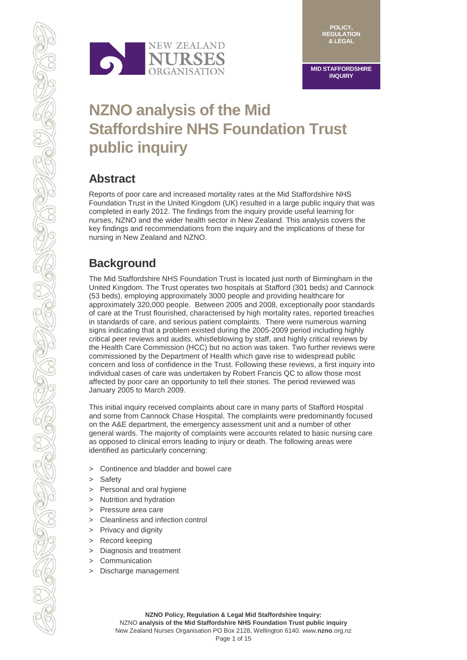

**MID STAFFORDSHIRE INQUIRY**

# **NZNO analysis of the Mid Staffordshire NHS Foundation Trust public inquiry**

### **Abstract**

Reports of poor care and increased mortality rates at the Mid Staffordshire NHS Foundation Trust in the United Kingdom (UK) resulted in a large public inquiry that was completed in early 2012. The findings from the inquiry provide useful learning for nurses, NZNO and the wider health sector in New Zealand. This analysis covers the key findings and recommendations from the inquiry and the implications of these for nursing in New Zealand and NZNO.

## **Background**

The Mid Staffordshire NHS Foundation Trust is located just north of Birmingham in the United Kingdom. The Trust operates two hospitals at Stafford (301 beds) and Cannock (53 beds), employing approximately 3000 people and providing healthcare for approximately 320,000 people. Between 2005 and 2008, exceptionally poor standards of care at the Trust flourished, characterised by high mortality rates, reported breaches in standards of care, and serious patient complaints. There were numerous warning signs indicating that a problem existed during the 2005-2009 period including highly critical peer reviews and audits, whistleblowing by staff, and highly critical reviews by the Health Care Commission (HCC) but no action was taken. Two further reviews were commissioned by the Department of Health which gave rise to widespread public concern and loss of confidence in the Trust. Following these reviews, a first inquiry into individual cases of care was undertaken by Robert Francis QC to allow those most affected by poor care an opportunity to tell their stories. The period reviewed was January 2005 to March 2009.

This initial inquiry received complaints about care in many parts of Stafford Hospital and some from Cannock Chase Hospital. The complaints were predominantly focused on the A&E department, the emergency assessment unit and a number of other general wards. The majority of complaints were accounts related to basic nursing care as opposed to clinical errors leading to injury or death. The following areas were identified as particularly concerning:

- > Continence and bladder and bowel care
- > Safety
- > Personal and oral hygiene
- > Nutrition and hydration
- > Pressure area care
- > Cleanliness and infection control
- > Privacy and dignity
- > Record keeping
- > Diagnosis and treatment
- > Communication
- > Discharge management

NZNO **analysis of the Mid Staffordshire NHS Foundation Trust public inquiry** New Zealand Nurses Organisation PO Box 2128, Wellington 6140. www.**nzno**.org.nz Page 1 of 15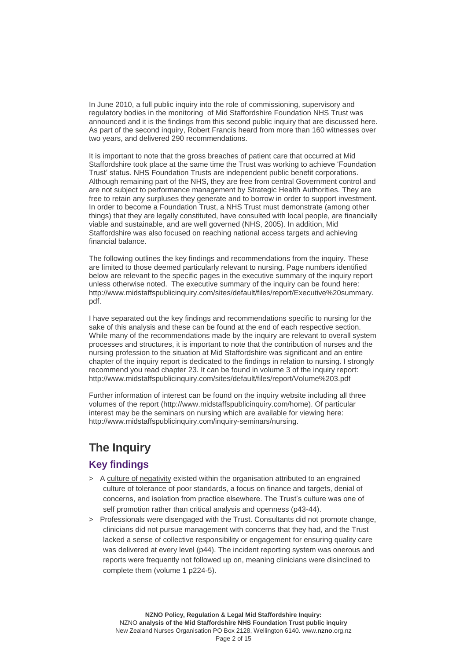In June 2010, a full public inquiry into the role of commissioning, supervisory and regulatory bodies in the monitoring of Mid Staffordshire Foundation NHS Trust was announced and it is the findings from this second public inquiry that are discussed here. As part of the second inquiry, Robert Francis heard from more than 160 witnesses over two years, and delivered 290 recommendations.

It is important to note that the gross breaches of patient care that occurred at Mid Staffordshire took place at the same time the Trust was working to achieve 'Foundation Trust' status. NHS Foundation Trusts are independent public benefit corporations. Although remaining part of the NHS, they are free from central Government control and are not subject to performance management by Strategic Health Authorities. They are free to retain any surpluses they generate and to borrow in order to support investment. In order to become a Foundation Trust, a NHS Trust must demonstrate (among other things) that they are legally constituted, have consulted with local people, are financially viable and sustainable, and are well governed (NHS, 2005). In addition, Mid Staffordshire was also focused on reaching national access targets and achieving financial balance.

The following outlines the key findings and recommendations from the inquiry. These are limited to those deemed particularly relevant to nursing. Page numbers identified below are relevant to the specific pages in the executive summary of the inquiry report unless otherwise noted. The executive summary of the inquiry can be found here: [http://www.midstaffspublicinquiry.com/sites/default/files/report/Executive%20summary.](http://www.midstaffspublicinquiry.com/sites/default/files/report/Executive%20summary.pdf) [pdf.](http://www.midstaffspublicinquiry.com/sites/default/files/report/Executive%20summary.pdf)

I have separated out the key findings and recommendations specific to nursing for the sake of this analysis and these can be found at the end of each respective section. While many of the recommendations made by the inquiry are relevant to overall system processes and structures, it is important to note that the contribution of nurses and the nursing profession to the situation at Mid Staffordshire was significant and an entire chapter of the inquiry report is dedicated to the findings in relation to nursing. I strongly recommend you read chapter 23. It can be found in volume 3 of the inquiry report: <http://www.midstaffspublicinquiry.com/sites/default/files/report/Volume%203.pdf>

Further information of interest can be found on the inquiry website including all three volumes of the report [\(http://www.midstaffspublicinquiry.com/home\)](http://www.midstaffspublicinquiry.com/home). Of particular interest may be the seminars on nursing which are available for viewing here: [http://www.midstaffspublicinquiry.com/inquiry-seminars/nursing.](http://www.midstaffspublicinquiry.com/inquiry-seminars/nursing)

### **The Inquiry**

#### **Key findings**

- > A culture of negativity existed within the organisation attributed to an engrained culture of tolerance of poor standards, a focus on finance and targets, denial of concerns, and isolation from practice elsewhere. The Trust's culture was one of self promotion rather than critical analysis and openness (p43-44).
- > Professionals were disengaged with the Trust. Consultants did not promote change, clinicians did not pursue management with concerns that they had, and the Trust lacked a sense of collective responsibility or engagement for ensuring quality care was delivered at every level (p44). The incident reporting system was onerous and reports were frequently not followed up on, meaning clinicians were disinclined to complete them (volume 1 p224-5).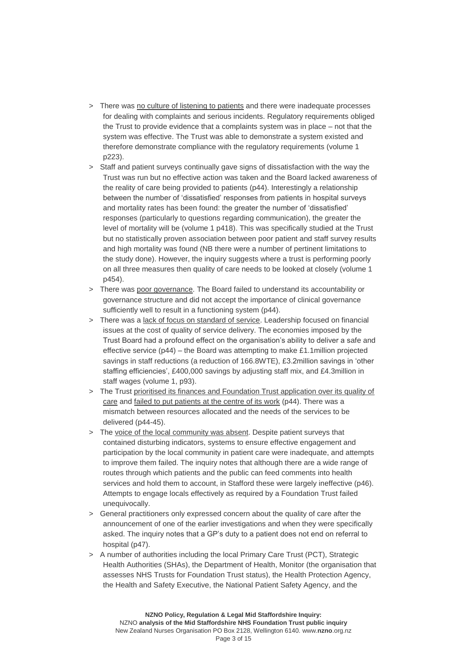- > There was no culture of listening to patients and there were inadequate processes for dealing with complaints and serious incidents. Regulatory requirements obliged the Trust to provide evidence that a complaints system was in place – not that the system was effective. The Trust was able to demonstrate a system existed and therefore demonstrate compliance with the regulatory requirements (volume 1 p223).
- > Staff and patient surveys continually gave signs of dissatisfaction with the way the Trust was run but no effective action was taken and the Board lacked awareness of the reality of care being provided to patients (p44). Interestingly a relationship between the number of 'dissatisfied' responses from patients in hospital surveys and mortality rates has been found: the greater the number of 'dissatisfied' responses (particularly to questions regarding communication), the greater the level of mortality will be (volume 1 p418). This was specifically studied at the Trust but no statistically proven association between poor patient and staff survey results and high mortality was found (NB there were a number of pertinent limitations to the study done). However, the inquiry suggests where a trust is performing poorly on all three measures then quality of care needs to be looked at closely (volume 1 p454).
- > There was poor governance. The Board failed to understand its accountability or governance structure and did not accept the importance of clinical governance sufficiently well to result in a functioning system (p44).
- > There was a lack of focus on standard of service. Leadership focused on financial issues at the cost of quality of service delivery. The economies imposed by the Trust Board had a profound effect on the organisation's ability to deliver a safe and effective service (p44) – the Board was attempting to make £1.1million projected savings in staff reductions (a reduction of 166.8WTE), £3.2million savings in 'other staffing efficiencies', £400,000 savings by adjusting staff mix, and £4.3million in staff wages (volume 1, p93).
- > The Trust prioritised its finances and Foundation Trust application over its quality of care and failed to put patients at the centre of its work (p44). There was a mismatch between resources allocated and the needs of the services to be delivered (p44-45).
- > The voice of the local community was absent. Despite patient surveys that contained disturbing indicators, systems to ensure effective engagement and participation by the local community in patient care were inadequate, and attempts to improve them failed. The inquiry notes that although there are a wide range of routes through which patients and the public can feed comments into health services and hold them to account, in Stafford these were largely ineffective (p46). Attempts to engage locals effectively as required by a Foundation Trust failed unequivocally.
- > General practitioners only expressed concern about the quality of care after the announcement of one of the earlier investigations and when they were specifically asked. The inquiry notes that a GP's duty to a patient does not end on referral to hospital (p47).
- > A number of authorities including the local Primary Care Trust (PCT), Strategic Health Authorities (SHAs), the Department of Health, Monitor (the organisation that assesses NHS Trusts for Foundation Trust status), the Health Protection Agency, the Health and Safety Executive, the National Patient Safety Agency, and the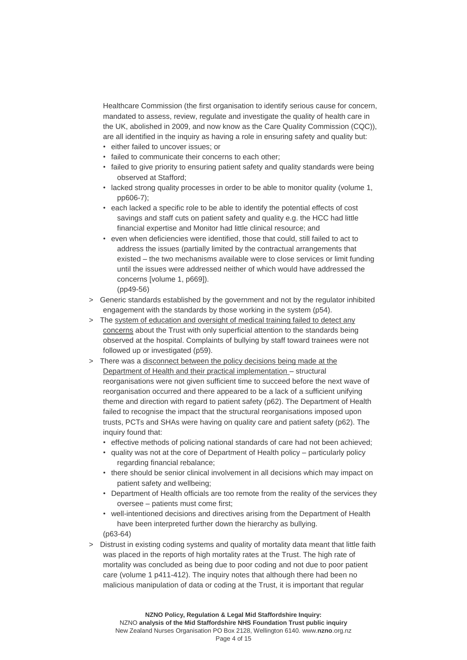Healthcare Commission (the first organisation to identify serious cause for concern, mandated to assess, review, regulate and investigate the quality of health care in the UK, abolished in 2009, and now know as the Care Quality Commission (CQC)), are all identified in the inquiry as having a role in ensuring safety and quality but:

- either failed to uncover issues; or
- failed to communicate their concerns to each other;
- failed to give priority to ensuring patient safety and quality standards were being observed at Stafford;
- lacked strong quality processes in order to be able to monitor quality (volume 1, pp606-7);
- each lacked a specific role to be able to identify the potential effects of cost savings and staff cuts on patient safety and quality e.g. the HCC had little financial expertise and Monitor had little clinical resource; and
- even when deficiencies were identified, those that could, still failed to act to address the issues (partially limited by the contractual arrangements that existed – the two mechanisms available were to close services or limit funding until the issues were addressed neither of which would have addressed the concerns [volume 1, p669]). (pp49-56)
- > Generic standards established by the government and not by the regulator inhibited engagement with the standards by those working in the system (p54).
- > The system of education and oversight of medical training failed to detect any concerns about the Trust with only superficial attention to the standards being observed at the hospital. Complaints of bullying by staff toward trainees were not followed up or investigated (p59).
- > There was a disconnect between the policy decisions being made at the Department of Health and their practical implementation – structural reorganisations were not given sufficient time to succeed before the next wave of reorganisation occurred and there appeared to be a lack of a sufficient unifying theme and direction with regard to patient safety (p62). The Department of Health failed to recognise the impact that the structural reorganisations imposed upon trusts, PCTs and SHAs were having on quality care and patient safety (p62). The inquiry found that:
	- effective methods of policing national standards of care had not been achieved;
	- quality was not at the core of Department of Health policy particularly policy regarding financial rebalance;
	- there should be senior clinical involvement in all decisions which may impact on patient safety and wellbeing;
	- Department of Health officials are too remote from the reality of the services they oversee – patients must come first;
	- well-intentioned decisions and directives arising from the Department of Health have been interpreted further down the hierarchy as bullying.

(p63-64)

> Distrust in existing coding systems and quality of mortality data meant that little faith was placed in the reports of high mortality rates at the Trust. The high rate of mortality was concluded as being due to poor coding and not due to poor patient care (volume 1 p411-412). The inquiry notes that although there had been no malicious manipulation of data or coding at the Trust, it is important that regular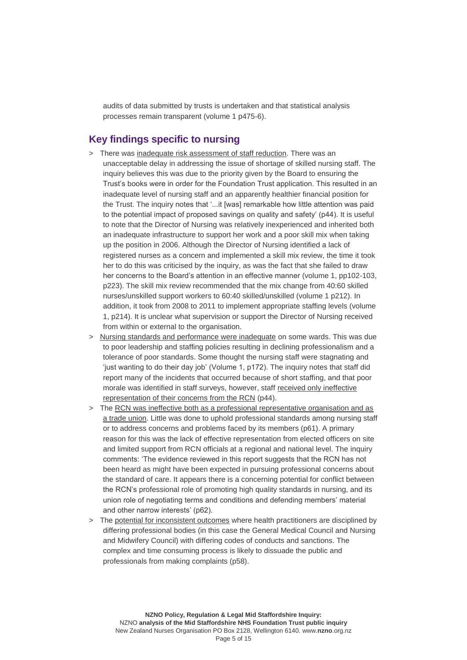audits of data submitted by trusts is undertaken and that statistical analysis processes remain transparent (volume 1 p475-6).

#### **Key findings specific to nursing**

- > There was inadequate risk assessment of staff reduction. There was an unacceptable delay in addressing the issue of shortage of skilled nursing staff. The inquiry believes this was due to the priority given by the Board to ensuring the Trust's books were in order for the Foundation Trust application. This resulted in an inadequate level of nursing staff and an apparently healthier financial position for the Trust. The inquiry notes that '...it [was] remarkable how little attention was paid to the potential impact of proposed savings on quality and safety' (p44). It is useful to note that the Director of Nursing was relatively inexperienced and inherited both an inadequate infrastructure to support her work and a poor skill mix when taking up the position in 2006. Although the Director of Nursing identified a lack of registered nurses as a concern and implemented a skill mix review, the time it took her to do this was criticised by the inquiry, as was the fact that she failed to draw her concerns to the Board's attention in an effective manner (volume 1, pp102-103, p223). The skill mix review recommended that the mix change from 40:60 skilled nurses/unskilled support workers to 60:40 skilled/unskilled (volume 1 p212). In addition, it took from 2008 to 2011 to implement appropriate staffing levels (volume 1, p214). It is unclear what supervision or support the Director of Nursing received from within or external to the organisation.
- > Nursing standards and performance were inadequate on some wards. This was due to poor leadership and staffing policies resulting in declining professionalism and a tolerance of poor standards. Some thought the nursing staff were stagnating and 'just wanting to do their day job' (Volume 1, p172). The inquiry notes that staff did report many of the incidents that occurred because of short staffing, and that poor morale was identified in staff surveys, however, staff received only ineffective representation of their concerns from the RCN (p44).
- > The RCN was ineffective both as a professional representative organisation and as a trade union. Little was done to uphold professional standards among nursing staff or to address concerns and problems faced by its members (p61). A primary reason for this was the lack of effective representation from elected officers on site and limited support from RCN officials at a regional and national level. The inquiry comments: 'The evidence reviewed in this report suggests that the RCN has not been heard as might have been expected in pursuing professional concerns about the standard of care. It appears there is a concerning potential for conflict between the RCN's professional role of promoting high quality standards in nursing, and its union role of negotiating terms and conditions and defending members' material and other narrow interests' (p62).
- > The potential for inconsistent outcomes where health practitioners are disciplined by differing professional bodies (in this case the General Medical Council and Nursing and Midwifery Council) with differing codes of conducts and sanctions. The complex and time consuming process is likely to dissuade the public and professionals from making complaints (p58).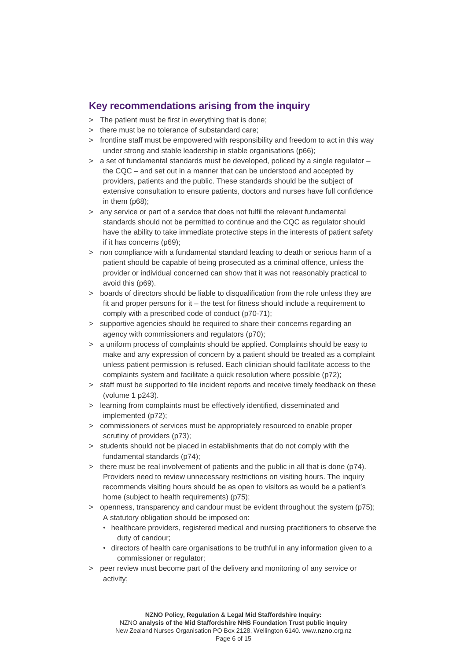#### **Key recommendations arising from the inquiry**

- > The patient must be first in everything that is done;
- > there must be no tolerance of substandard care;
- > frontline staff must be empowered with responsibility and freedom to act in this way under strong and stable leadership in stable organisations (p66);
- $>$  a set of fundamental standards must be developed, policed by a single regulator  $$ the CQC – and set out in a manner that can be understood and accepted by providers, patients and the public. These standards should be the subject of extensive consultation to ensure patients, doctors and nurses have full confidence in them (p68);
- > any service or part of a service that does not fulfil the relevant fundamental standards should not be permitted to continue and the CQC as regulator should have the ability to take immediate protective steps in the interests of patient safety if it has concerns (p69);
- > non compliance with a fundamental standard leading to death or serious harm of a patient should be capable of being prosecuted as a criminal offence, unless the provider or individual concerned can show that it was not reasonably practical to avoid this (p69).
- > boards of directors should be liable to disqualification from the role unless they are fit and proper persons for it – the test for fitness should include a requirement to comply with a prescribed code of conduct (p70-71);
- > supportive agencies should be required to share their concerns regarding an agency with commissioners and regulators (p70);
- > a uniform process of complaints should be applied. Complaints should be easy to make and any expression of concern by a patient should be treated as a complaint unless patient permission is refused. Each clinician should facilitate access to the complaints system and facilitate a quick resolution where possible (p72);
- > staff must be supported to file incident reports and receive timely feedback on these (volume 1 p243).
- > learning from complaints must be effectively identified, disseminated and implemented (p72);
- > commissioners of services must be appropriately resourced to enable proper scrutiny of providers (p73):
- > students should not be placed in establishments that do not comply with the fundamental standards (p74);
- > there must be real involvement of patients and the public in all that is done (p74). Providers need to review unnecessary restrictions on visiting hours. The inquiry recommends visiting hours should be as open to visitors as would be a patient's home (subject to health requirements) (p75);
- > openness, transparency and candour must be evident throughout the system (p75); A statutory obligation should be imposed on:
	- healthcare providers, registered medical and nursing practitioners to observe the duty of candour;
	- directors of health care organisations to be truthful in any information given to a commissioner or regulator;
- > peer review must become part of the delivery and monitoring of any service or activity;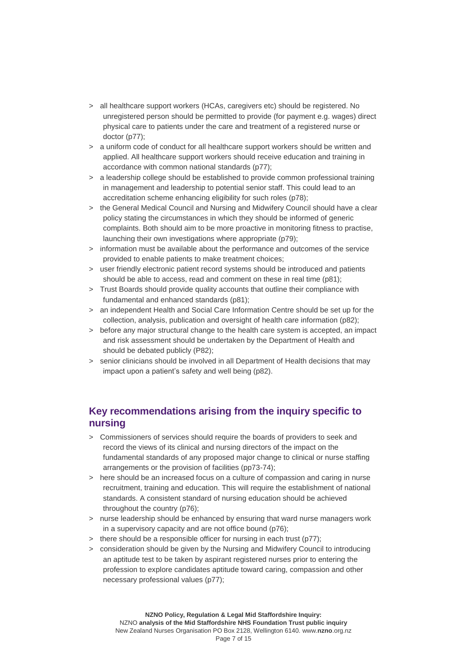- > all healthcare support workers (HCAs, caregivers etc) should be registered. No unregistered person should be permitted to provide (for payment e.g. wages) direct physical care to patients under the care and treatment of a registered nurse or doctor (p77);
- > a uniform code of conduct for all healthcare support workers should be written and applied. All healthcare support workers should receive education and training in accordance with common national standards (p77);
- > a leadership college should be established to provide common professional training in management and leadership to potential senior staff. This could lead to an accreditation scheme enhancing eligibility for such roles (p78);
- > the General Medical Council and Nursing and Midwifery Council should have a clear policy stating the circumstances in which they should be informed of generic complaints. Both should aim to be more proactive in monitoring fitness to practise, launching their own investigations where appropriate (p79);
- > information must be available about the performance and outcomes of the service provided to enable patients to make treatment choices;
- > user friendly electronic patient record systems should be introduced and patients should be able to access, read and comment on these in real time (p81);
- > Trust Boards should provide quality accounts that outline their compliance with fundamental and enhanced standards (p81):
- > an independent Health and Social Care Information Centre should be set up for the collection, analysis, publication and oversight of health care information (p82);
- > before any major structural change to the health care system is accepted, an impact and risk assessment should be undertaken by the Department of Health and should be debated publicly (P82);
- > senior clinicians should be involved in all Department of Health decisions that may impact upon a patient's safety and well being (p82).

#### **Key recommendations arising from the inquiry specific to nursing**

- > Commissioners of services should require the boards of providers to seek and record the views of its clinical and nursing directors of the impact on the fundamental standards of any proposed major change to clinical or nurse staffing arrangements or the provision of facilities (pp73-74);
- > here should be an increased focus on a culture of compassion and caring in nurse recruitment, training and education. This will require the establishment of national standards. A consistent standard of nursing education should be achieved throughout the country (p76);
- > nurse leadership should be enhanced by ensuring that ward nurse managers work in a supervisory capacity and are not office bound (p76);
- > there should be a responsible officer for nursing in each trust (p77);
- > consideration should be given by the Nursing and Midwifery Council to introducing an aptitude test to be taken by aspirant registered nurses prior to entering the profession to explore candidates aptitude toward caring, compassion and other necessary professional values (p77);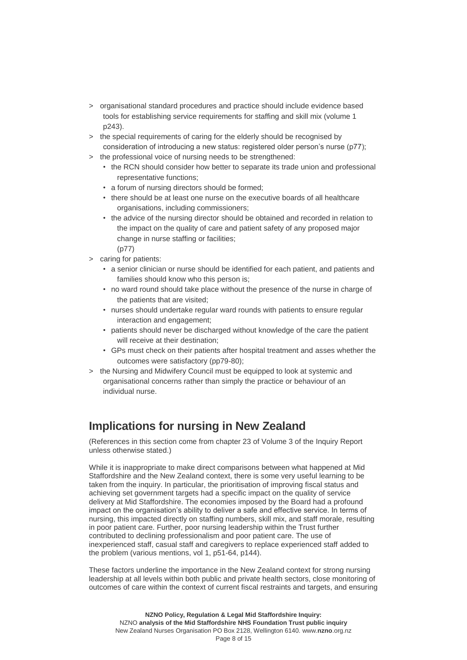- > organisational standard procedures and practice should include evidence based tools for establishing service requirements for staffing and skill mix (volume 1 p243).
- > the special requirements of caring for the elderly should be recognised by consideration of introducing a new status: registered older person's nurse (p77);
- > the professional voice of nursing needs to be strengthened:
	- the RCN should consider how better to separate its trade union and professional representative functions;
	- a forum of nursing directors should be formed;
	- there should be at least one nurse on the executive boards of all healthcare organisations, including commissioners;
	- the advice of the nursing director should be obtained and recorded in relation to the impact on the quality of care and patient safety of any proposed major change in nurse staffing or facilities;
	- (p77)
- > caring for patients:
	- a senior clinician or nurse should be identified for each patient, and patients and families should know who this person is;
	- no ward round should take place without the presence of the nurse in charge of the patients that are visited;
	- nurses should undertake regular ward rounds with patients to ensure regular interaction and engagement;
	- patients should never be discharged without knowledge of the care the patient will receive at their destination:
	- GPs must check on their patients after hospital treatment and asses whether the outcomes were satisfactory (pp79-80);
- > the Nursing and Midwifery Council must be equipped to look at systemic and organisational concerns rather than simply the practice or behaviour of an individual nurse.

### **Implications for nursing in New Zealand**

(References in this section come from chapter 23 of Volume 3 of the Inquiry Report unless otherwise stated.)

While it is inappropriate to make direct comparisons between what happened at Mid Staffordshire and the New Zealand context, there is some very useful learning to be taken from the inquiry. In particular, the prioritisation of improving fiscal status and achieving set government targets had a specific impact on the quality of service delivery at Mid Staffordshire. The economies imposed by the Board had a profound impact on the organisation's ability to deliver a safe and effective service. In terms of nursing, this impacted directly on staffing numbers, skill mix, and staff morale, resulting in poor patient care. Further, poor nursing leadership within the Trust further contributed to declining professionalism and poor patient care. The use of inexperienced staff, casual staff and caregivers to replace experienced staff added to the problem (various mentions, vol 1, p51-64, p144).

These factors underline the importance in the New Zealand context for strong nursing leadership at all levels within both public and private health sectors, close monitoring of outcomes of care within the context of current fiscal restraints and targets, and ensuring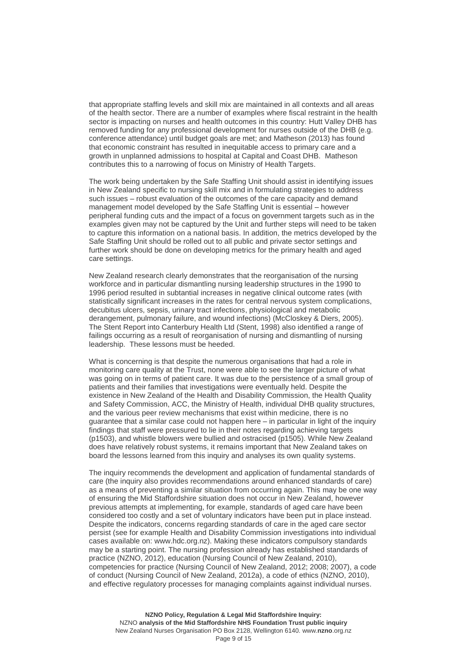that appropriate staffing levels and skill mix are maintained in all contexts and all areas of the health sector. There are a number of examples where fiscal restraint in the health sector is impacting on nurses and health outcomes in this country: Hutt Valley DHB has removed funding for any professional development for nurses outside of the DHB (e.g. conference attendance) until budget goals are met; and Matheson (2013) has found that economic constraint has resulted in inequitable access to primary care and a growth in unplanned admissions to hospital at Capital and Coast DHB. Matheson contributes this to a narrowing of focus on Ministry of Health Targets.

The work being undertaken by the Safe Staffing Unit should assist in identifying issues in New Zealand specific to nursing skill mix and in formulating strategies to address such issues – robust evaluation of the outcomes of the care capacity and demand management model developed by the Safe Staffing Unit is essential – however peripheral funding cuts and the impact of a focus on government targets such as in the examples given may not be captured by the Unit and further steps will need to be taken to capture this information on a national basis. In addition, the metrics developed by the Safe Staffing Unit should be rolled out to all public and private sector settings and further work should be done on developing metrics for the primary health and aged care settings.

New Zealand research clearly demonstrates that the reorganisation of the nursing workforce and in particular dismantling nursing leadership structures in the 1990 to 1996 period resulted in subtantial increases in negative clinical outcome rates (with statistically significant increases in the rates for central nervous system complications, decubitus ulcers, sepsis, urinary tract infections, physiological and metabolic derangement, pulmonary failure, and wound infections) (McCloskey & Diers, 2005). The Stent Report into Canterbury Health Ltd (Stent, 1998) also identified a range of failings occurring as a result of reorganisation of nursing and dismantling of nursing leadership. These lessons must be heeded.

What is concerning is that despite the numerous organisations that had a role in monitoring care quality at the Trust, none were able to see the larger picture of what was going on in terms of patient care. It was due to the persistence of a small group of patients and their families that investigations were eventually held. Despite the existence in New Zealand of the Health and Disability Commission, the Health Quality and Safety Commission, ACC, the Ministry of Health, individual DHB quality structures, and the various peer review mechanisms that exist within medicine, there is no guarantee that a similar case could not happen here – in particular in light of the inquiry findings that staff were pressured to lie in their notes regarding achieving targets (p1503), and whistle blowers were bullied and ostracised (p1505). While New Zealand does have relatively robust systems, it remains important that New Zealand takes on board the lessons learned from this inquiry and analyses its own quality systems.

The inquiry recommends the development and application of fundamental standards of care (the inquiry also provides recommendations around enhanced standards of care) as a means of preventing a similar situation from occurring again. This may be one way of ensuring the Mid Staffordshire situation does not occur in New Zealand, however previous attempts at implementing, for example, standards of aged care have been considered too costly and a set of voluntary indicators have been put in place instead. Despite the indicators, concerns regarding standards of care in the aged care sector persist (see for example Health and Disability Commission investigations into individual cases available on: [www.hdc.org.nz\)](http://www.hdc.org.nz/). Making these indicators compulsory standards may be a starting point. The nursing profession already has established standards of practice (NZNO, 2012), education (Nursing Council of New Zealand, 2010), competencies for practice (Nursing Council of New Zealand, 2012; 2008; 2007), a code of conduct (Nursing Council of New Zealand, 2012a), a code of ethics (NZNO, 2010), and effective regulatory processes for managing complaints against individual nurses.

**NZNO Policy, Regulation & Legal Mid Staffordshire Inquiry:** NZNO **analysis of the Mid Staffordshire NHS Foundation Trust public inquiry** New Zealand Nurses Organisation PO Box 2128, Wellington 6140. www.**nzno**.org.nz Page 9 of 15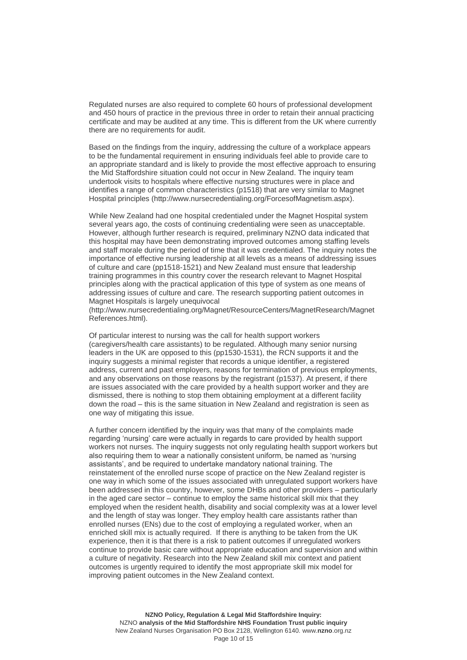Regulated nurses are also required to complete 60 hours of professional development and 450 hours of practice in the previous three in order to retain their annual practicing certificate and may be audited at any time. This is different from the UK where currently there are no requirements for audit.

Based on the findings from the inquiry, addressing the culture of a workplace appears to be the fundamental requirement in ensuring individuals feel able to provide care to an appropriate standard and is likely to provide the most effective approach to ensuring the Mid Staffordshire situation could not occur in New Zealand. The inquiry team undertook visits to hospitals where effective nursing structures were in place and identifies a range of common characteristics (p1518) that are very similar to Magnet Hospital principles [\(http://www.nursecredentialing.org/ForcesofMagnetism.aspx\)](http://www.nursecredentialing.org/ForcesofMagnetism.aspx).

While New Zealand had one hospital credentialed under the Magnet Hospital system several years ago, the costs of continuing credentialing were seen as unacceptable. However, although further research is required, preliminary NZNO data indicated that this hospital may have been demonstrating improved outcomes among staffing levels and staff morale during the period of time that it was credentialed. The inquiry notes the importance of effective nursing leadership at all levels as a means of addressing issues of culture and care (pp1518-1521) and New Zealand must ensure that leadership training programmes in this country cover the research relevant to Magnet Hospital principles along with the practical application of this type of system as one means of addressing issues of culture and care. The research supporting patient outcomes in Magnet Hospitals is largely unequivocal

[\(http://www.nursecredentialing.org/Magnet/ResourceCenters/MagnetResearch/Magnet](http://www.nursecredentialing.org/Magnet/ResourceCenters/MagnetResearch/MagnetReferences.html) [References.html\)](http://www.nursecredentialing.org/Magnet/ResourceCenters/MagnetResearch/MagnetReferences.html).

Of particular interest to nursing was the call for health support workers (caregivers/health care assistants) to be regulated. Although many senior nursing leaders in the UK are opposed to this (pp1530-1531), the RCN supports it and the inquiry suggests a minimal register that records a unique identifier, a registered address, current and past employers, reasons for termination of previous employments, and any observations on those reasons by the registrant (p1537). At present, if there are issues associated with the care provided by a health support worker and they are dismissed, there is nothing to stop them obtaining employment at a different facility down the road – this is the same situation in New Zealand and registration is seen as one way of mitigating this issue.

A further concern identified by the inquiry was that many of the complaints made regarding 'nursing' care were actually in regards to care provided by health support workers not nurses. The inquiry suggests not only regulating health support workers but also requiring them to wear a nationally consistent uniform, be named as 'nursing assistants', and be required to undertake mandatory national training. The reinstatement of the enrolled nurse scope of practice on the New Zealand register is one way in which some of the issues associated with unregulated support workers have been addressed in this country, however, some DHBs and other providers – particularly in the aged care sector – continue to employ the same historical skill mix that they employed when the resident health, disability and social complexity was at a lower level and the length of stay was longer. They employ health care assistants rather than enrolled nurses (ENs) due to the cost of employing a regulated worker, when an enriched skill mix is actually required. If there is anything to be taken from the UK experience, then it is that there is a risk to patient outcomes if unregulated workers continue to provide basic care without appropriate education and supervision and within a culture of negativity. Research into the New Zealand skill mix context and patient outcomes is urgently required to identify the most appropriate skill mix model for improving patient outcomes in the New Zealand context.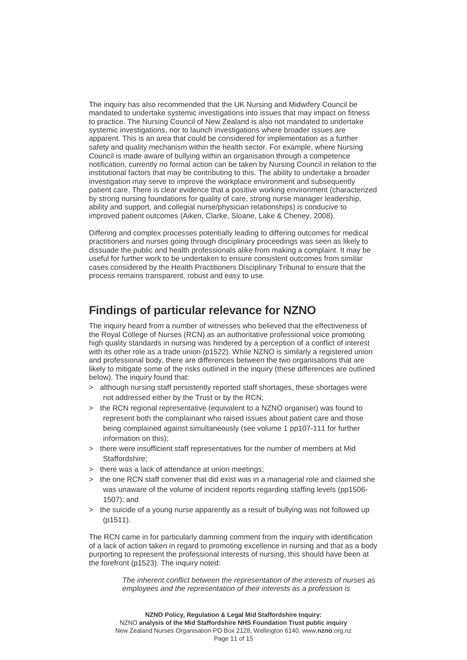The inquiry has also recommended that the UK Nursing and Midwifery Council be mandated to undertake systemic investigations into issues that may impact on fitness to practice. The Nursing Council of New Zealand is also not mandated to undertake systemic investigations, nor to launch investigations where broader issues are apparent. This is an area that could be considered for implementation as a further safety and quality mechanism within the health sector. For example, where Nursing Council is made aware of bullying within an organisation through a competence notification, currently no formal action can be taken by Nursing Council in relation to the institutional factors that may be contributing to this. The ability to undertake a broader investigation may serve to improve the workplace environment and subsequently patient care. There is clear evidence that a positive working environment (characterized by strong nursing foundations for quality of care, strong nurse manager leadership, ability and support, and collegial nurse/physician relationships) is conducive to improved patient outcomes (Aiken, Clarke, Sloane, Lake & Cheney, 2008).

Differing and complex processes potentially leading to differing outcomes for medical practitioners and nurses going through disciplinary proceedings was seen as likely to dissuade the public and health professionals alike from making a complaint. It may be useful for further work to be undertaken to ensure consistent outcomes from similar cases considered by the Health Practitioners Disciplinary Tribunal to ensure that the process remains transparent, robust and easy to use.

### **Findings of particular relevance for NZNO**

The inquiry heard from a number of witnesses who believed that the effectiveness of the Royal College of Nurses (RCN) as an authoritative professional voice promoting high quality standards in nursing was hindered by a perception of a conflict of interest with its other role as a trade union (p1522). While NZNO is similarly a registered union and professional body, there are differences between the two organisations that are likely to mitigate some of the risks outlined in the inquiry (these differences are outlined below). The inquiry found that:

- > although nursing staff persistently reported staff shortages, these shortages were not addressed either by the Trust or by the RCN;
- > the RCN regional representative (equivalent to a NZNO organiser) was found to represent both the complainant who raised issues about patient care and those being complained against simultaneously (see volume 1 pp107-111 for further information on this);
- > there were insufficient staff representatives for the number of members at Mid Staffordshire;
- > there was a lack of attendance at union meetings;
- > the one RCN staff convener that did exist was in a managerial role and claimed she was unaware of the volume of incident reports regarding staffing levels (pp1506-1507); and
- > the suicide of a young nurse apparently as a result of bullying was not followed up (p1511).

The RCN came in for particularly damning comment from the inquiry with identification of a lack of action taken in regard to promoting excellence in nursing and that as a body purporting to represent the professional interests of nursing, this should have been at the forefront (p1523). The inquiry noted:

> *The inherent conflict between the representation of the interests of nurses as employees and the representation of their interests as a profession is*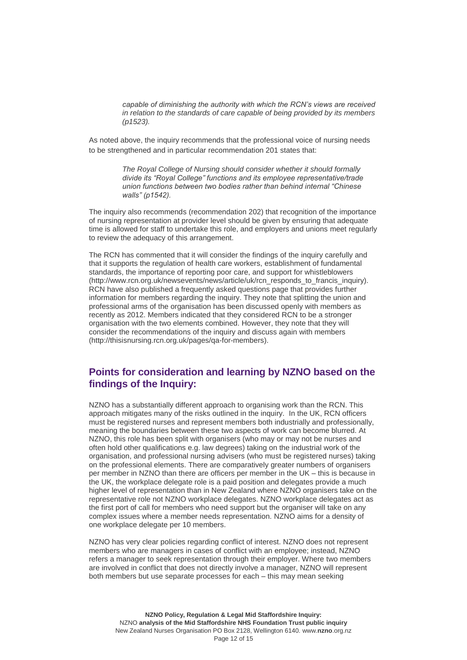*capable of diminishing the authority with which the RCN's views are received in relation to the standards of care capable of being provided by its members (p1523).*

As noted above, the inquiry recommends that the professional voice of nursing needs to be strengthened and in particular recommendation 201 states that:

> *The Royal College of Nursing should consider whether it should formally divide its "Royal College" functions and its employee representative/trade union functions between two bodies rather than behind internal "Chinese walls" (p1542).*

The inquiry also recommends (recommendation 202) that recognition of the importance of nursing representation at provider level should be given by ensuring that adequate time is allowed for staff to undertake this role, and employers and unions meet regularly to review the adequacy of this arrangement.

The RCN has commented that it will consider the findings of the inquiry carefully and that it supports the regulation of health care workers, establishment of fundamental standards, the importance of reporting poor care, and support for whistleblowers [\(http://www.rcn.org.uk/newsevents/news/article/uk/rcn\\_responds\\_to\\_francis\\_inquiry\)](http://www.rcn.org.uk/newsevents/news/article/uk/rcn_responds_to_francis_inquiry). RCN have also published a frequently asked questions page that provides further information for members regarding the inquiry. They note that splitting the union and professional arms of the organisation has been discussed openly with members as recently as 2012. Members indicated that they considered RCN to be a stronger organisation with the two elements combined. However, they note that they will consider the recommendations of the inquiry and discuss again with members [\(http://thisisnursing.rcn.org.uk/pages/qa-for-members\)](http://thisisnursing.rcn.org.uk/pages/qa-for-members).

#### **Points for consideration and learning by NZNO based on the findings of the Inquiry:**

NZNO has a substantially different approach to organising work than the RCN. This approach mitigates many of the risks outlined in the inquiry. In the UK, RCN officers must be registered nurses and represent members both industrially and professionally, meaning the boundaries between these two aspects of work can become blurred. At NZNO, this role has been split with organisers (who may or may not be nurses and often hold other qualifications e.g. law degrees) taking on the industrial work of the organisation, and professional nursing advisers (who must be registered nurses) taking on the professional elements. There are comparatively greater numbers of organisers per member in NZNO than there are officers per member in the UK – this is because in the UK, the workplace delegate role is a paid position and delegates provide a much higher level of representation than in New Zealand where NZNO organisers take on the representative role not NZNO workplace delegates. NZNO workplace delegates act as the first port of call for members who need support but the organiser will take on any complex issues where a member needs representation. NZNO aims for a density of one workplace delegate per 10 members.

NZNO has very clear policies regarding conflict of interest. NZNO does not represent members who are managers in cases of conflict with an employee; instead, NZNO refers a manager to seek representation through their employer. Where two members are involved in conflict that does not directly involve a manager, NZNO will represent both members but use separate processes for each – this may mean seeking

**NZNO Policy, Regulation & Legal Mid Staffordshire Inquiry:** NZNO **analysis of the Mid Staffordshire NHS Foundation Trust public inquiry** New Zealand Nurses Organisation PO Box 2128, Wellington 6140. www.**nzno**.org.nz Page 12 of 15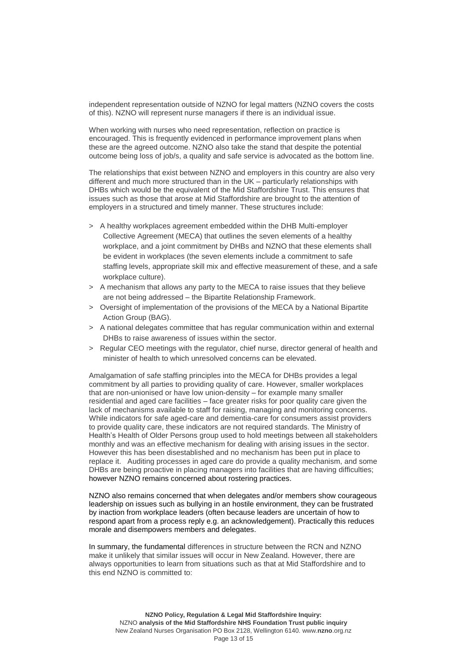independent representation outside of NZNO for legal matters (NZNO covers the costs of this). NZNO will represent nurse managers if there is an individual issue.

When working with nurses who need representation, reflection on practice is encouraged. This is frequently evidenced in performance improvement plans when these are the agreed outcome. NZNO also take the stand that despite the potential outcome being loss of job/s, a quality and safe service is advocated as the bottom line.

The relationships that exist between NZNO and employers in this country are also very different and much more structured than in the UK – particularly relationships with DHBs which would be the equivalent of the Mid Staffordshire Trust. This ensures that issues such as those that arose at Mid Staffordshire are brought to the attention of employers in a structured and timely manner. These structures include:

- > A healthy workplaces agreement embedded within the DHB Multi-employer Collective Agreement (MECA) that outlines the seven elements of a healthy workplace, and a joint commitment by DHBs and NZNO that these elements shall be evident in workplaces (the seven elements include a commitment to safe staffing levels, appropriate skill mix and effective measurement of these, and a safe workplace culture).
- > A mechanism that allows any party to the MECA to raise issues that they believe are not being addressed – the Bipartite Relationship Framework.
- > Oversight of implementation of the provisions of the MECA by a National Bipartite Action Group (BAG).
- > A national delegates committee that has regular communication within and external DHBs to raise awareness of issues within the sector.
- > Regular CEO meetings with the regulator, chief nurse, director general of health and minister of health to which unresolved concerns can be elevated.

Amalgamation of safe staffing principles into the MECA for DHBs provides a legal commitment by all parties to providing quality of care. However, smaller workplaces that are non-unionised or have low union-density – for example many smaller residential and aged care facilities – face greater risks for poor quality care given the lack of mechanisms available to staff for raising, managing and monitoring concerns. While indicators for safe aged-care and dementia-care for consumers assist providers to provide quality care, these indicators are not required standards. The Ministry of Health's Health of Older Persons group used to hold meetings between all stakeholders monthly and was an effective mechanism for dealing with arising issues in the sector. However this has been disestablished and no mechanism has been put in place to replace it. Auditing processes in aged care do provide a quality mechanism, and some DHBs are being proactive in placing managers into facilities that are having difficulties; however NZNO remains concerned about rostering practices.

NZNO also remains concerned that when delegates and/or members show courageous leadership on issues such as bullying in an hostile environment, they can be frustrated by inaction from workplace leaders (often because leaders are uncertain of how to respond apart from a process reply e.g. an acknowledgement). Practically this reduces morale and disempowers members and delegates.

In summary, the fundamental differences in structure between the RCN and NZNO make it unlikely that similar issues will occur in New Zealand. However, there are always opportunities to learn from situations such as that at Mid Staffordshire and to this end NZNO is committed to: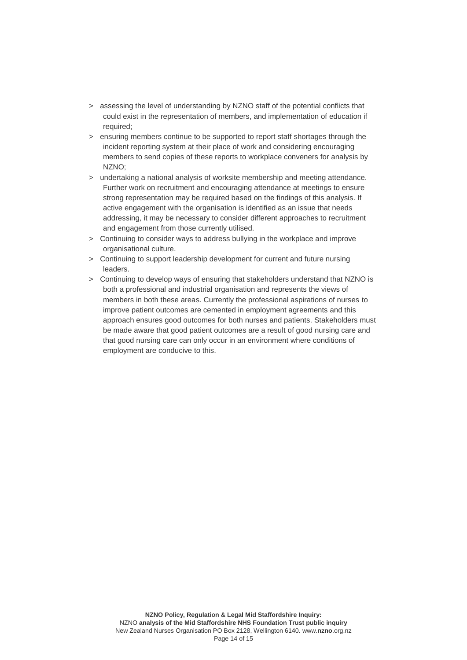- > assessing the level of understanding by NZNO staff of the potential conflicts that could exist in the representation of members, and implementation of education if required;
- > ensuring members continue to be supported to report staff shortages through the incident reporting system at their place of work and considering encouraging members to send copies of these reports to workplace conveners for analysis by NZNO;
- > undertaking a national analysis of worksite membership and meeting attendance. Further work on recruitment and encouraging attendance at meetings to ensure strong representation may be required based on the findings of this analysis. If active engagement with the organisation is identified as an issue that needs addressing, it may be necessary to consider different approaches to recruitment and engagement from those currently utilised.
- > Continuing to consider ways to address bullying in the workplace and improve organisational culture.
- > Continuing to support leadership development for current and future nursing leaders.
- > Continuing to develop ways of ensuring that stakeholders understand that NZNO is both a professional and industrial organisation and represents the views of members in both these areas. Currently the professional aspirations of nurses to improve patient outcomes are cemented in employment agreements and this approach ensures good outcomes for both nurses and patients. Stakeholders must be made aware that good patient outcomes are a result of good nursing care and that good nursing care can only occur in an environment where conditions of employment are conducive to this.